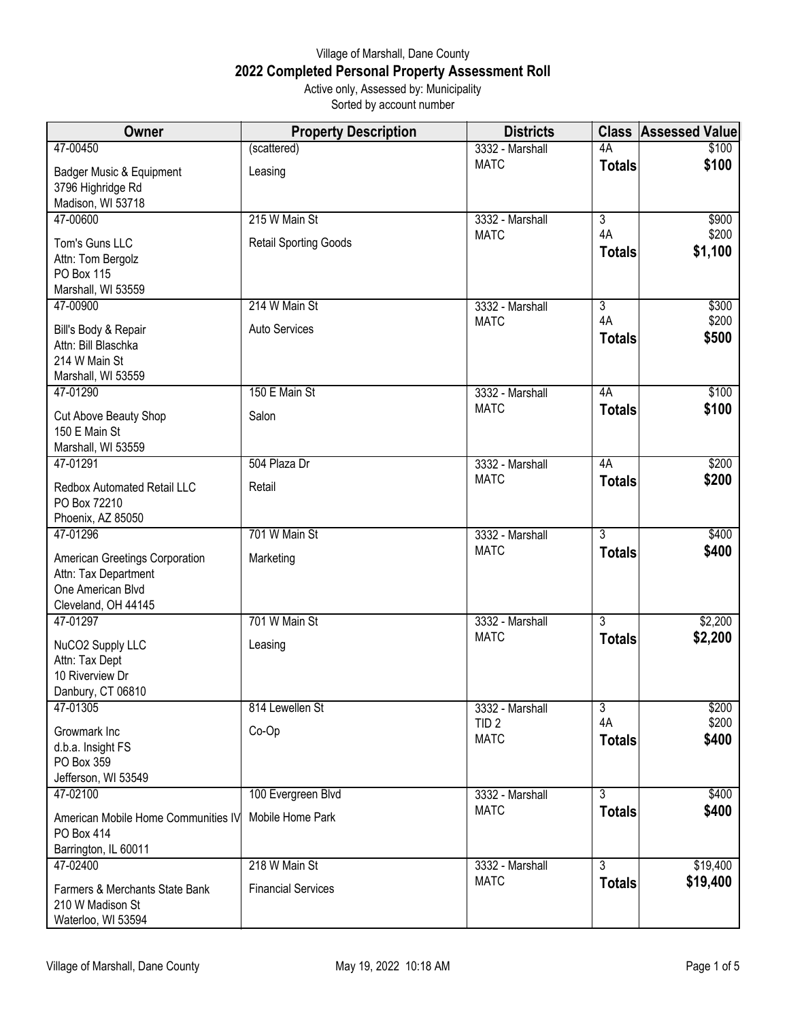## Village of Marshall, Dane County **2022 Completed Personal Property Assessment Roll** Active only, Assessed by: Municipality

Sorted by account number

| Owner                                                                                              | <b>Property Description</b>  | <b>Districts</b>                |                      | <b>Class Assessed Value</b> |
|----------------------------------------------------------------------------------------------------|------------------------------|---------------------------------|----------------------|-----------------------------|
| 47-00450                                                                                           | (scattered)                  | 3332 - Marshall                 | 4A                   | \$100                       |
| Badger Music & Equipment<br>3796 Highridge Rd                                                      | Leasing                      | <b>MATC</b>                     | <b>Totals</b>        | \$100                       |
| Madison, WI 53718                                                                                  |                              |                                 |                      |                             |
| 47-00600                                                                                           | 215 W Main St                | 3332 - Marshall<br><b>MATC</b>  | $\overline{3}$<br>4A | \$900<br>\$200              |
| Tom's Guns LLC<br>Attn: Tom Bergolz<br><b>PO Box 115</b><br>Marshall, WI 53559                     | <b>Retail Sporting Goods</b> |                                 | <b>Totals</b>        | \$1,100                     |
| 47-00900                                                                                           | 214 W Main St                | 3332 - Marshall                 | $\overline{3}$       | \$300                       |
| Bill's Body & Repair<br>Attn: Bill Blaschka<br>214 W Main St<br>Marshall, WI 53559                 | Auto Services                | <b>MATC</b>                     | 4A<br><b>Totals</b>  | \$200<br>\$500              |
| 47-01290                                                                                           | 150 E Main St                | 3332 - Marshall                 | 4A                   | \$100                       |
| Cut Above Beauty Shop<br>150 E Main St<br>Marshall, WI 53559                                       | Salon                        | <b>MATC</b>                     | <b>Totals</b>        | \$100                       |
| 47-01291                                                                                           | 504 Plaza Dr                 | 3332 - Marshall                 | 4A                   | \$200                       |
| Redbox Automated Retail LLC<br>PO Box 72210<br>Phoenix, AZ 85050                                   | Retail                       | <b>MATC</b>                     | <b>Totals</b>        | \$200                       |
| 47-01296                                                                                           | 701 W Main St                | 3332 - Marshall                 | $\overline{3}$       | \$400                       |
| American Greetings Corporation<br>Attn: Tax Department<br>One American Blvd<br>Cleveland, OH 44145 | Marketing                    | <b>MATC</b>                     | <b>Totals</b>        | \$400                       |
| 47-01297                                                                                           | 701 W Main St                | 3332 - Marshall                 | $\overline{3}$       | \$2,200                     |
| NuCO2 Supply LLC<br>Attn: Tax Dept<br>10 Riverview Dr                                              | Leasing                      | <b>MATC</b>                     | <b>Totals</b>        | \$2,200                     |
| Danbury, CT 06810<br>47-01305                                                                      | 814 Lewellen St              | 3332 - Marshall                 | $\overline{3}$       | \$200                       |
| Growmark Inc<br>d.b.a. Insight FS<br>PO Box 359<br>Jefferson, WI 53549                             | Co-Op                        | TID <sub>2</sub><br><b>MATC</b> | 4A<br><b>Totals</b>  | \$200<br>\$400              |
| 47-02100                                                                                           | 100 Evergreen Blvd           | 3332 - Marshall                 | $\overline{3}$       | \$400                       |
| American Mobile Home Communities IV<br>PO Box 414<br>Barrington, IL 60011                          | Mobile Home Park             | <b>MATC</b>                     | <b>Totals</b>        | \$400                       |
| 47-02400                                                                                           | 218 W Main St                | 3332 - Marshall                 | $\overline{3}$       | \$19,400                    |
| Farmers & Merchants State Bank<br>210 W Madison St<br>Waterloo, WI 53594                           | <b>Financial Services</b>    | <b>MATC</b>                     | <b>Totals</b>        | \$19,400                    |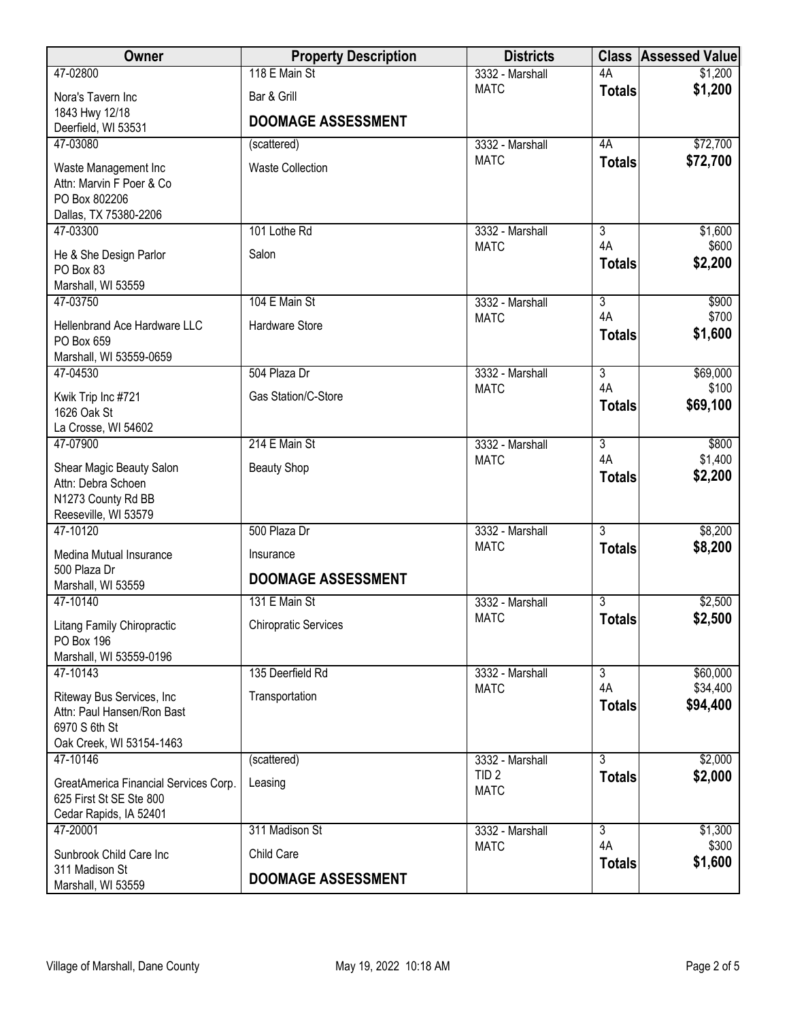| Owner                                                            | <b>Property Description</b> | <b>Districts</b>                    |                      | <b>Class Assessed Value</b> |
|------------------------------------------------------------------|-----------------------------|-------------------------------------|----------------------|-----------------------------|
| 47-02800                                                         | 118 E Main St               | 3332 - Marshall                     | 4A                   | \$1,200                     |
| Nora's Tavern Inc                                                | Bar & Grill                 | <b>MATC</b>                         | <b>Totals</b>        | \$1,200                     |
| 1843 Hwy 12/18                                                   | <b>DOOMAGE ASSESSMENT</b>   |                                     |                      |                             |
| Deerfield, WI 53531<br>47-03080                                  | (scattered)                 | 3332 - Marshall                     | 4A                   | \$72,700                    |
|                                                                  |                             | <b>MATC</b>                         | <b>Totals</b>        | \$72,700                    |
| Waste Management Inc<br>Attn: Marvin F Poer & Co                 | <b>Waste Collection</b>     |                                     |                      |                             |
| PO Box 802206                                                    |                             |                                     |                      |                             |
| Dallas, TX 75380-2206                                            |                             |                                     |                      |                             |
| 47-03300                                                         | 101 Lothe Rd                | 3332 - Marshall                     | 3<br>4A              | \$1,600<br>\$600            |
| He & She Design Parlor                                           | Salon                       | <b>MATC</b>                         | <b>Totals</b>        | \$2,200                     |
| PO Box 83                                                        |                             |                                     |                      |                             |
| Marshall, WI 53559<br>47-03750                                   | 104 E Main St               | 3332 - Marshall                     | $\overline{3}$       | \$900                       |
|                                                                  |                             | <b>MATC</b>                         | 4A                   | \$700                       |
| Hellenbrand Ace Hardware LLC<br>PO Box 659                       | Hardware Store              |                                     | <b>Totals</b>        | \$1,600                     |
| Marshall, WI 53559-0659                                          |                             |                                     |                      |                             |
| 47-04530                                                         | 504 Plaza Dr                | 3332 - Marshall                     | $\overline{3}$       | \$69,000                    |
| Kwik Trip Inc #721                                               | Gas Station/C-Store         | <b>MATC</b>                         | 4A                   | \$100                       |
| 1626 Oak St                                                      |                             |                                     | <b>Totals</b>        | \$69,100                    |
| La Crosse, WI 54602                                              |                             |                                     |                      |                             |
| 47-07900                                                         | 214 E Main St               | 3332 - Marshall<br><b>MATC</b>      | $\overline{3}$<br>4A | \$800<br>\$1,400            |
| Shear Magic Beauty Salon                                         | <b>Beauty Shop</b>          |                                     | <b>Totals</b>        | \$2,200                     |
| Attn: Debra Schoen<br>N1273 County Rd BB                         |                             |                                     |                      |                             |
| Reeseville, WI 53579                                             |                             |                                     |                      |                             |
| 47-10120                                                         | 500 Plaza Dr                | 3332 - Marshall                     | $\overline{3}$       | \$8,200                     |
| Medina Mutual Insurance                                          | Insurance                   | <b>MATC</b>                         | <b>Totals</b>        | \$8,200                     |
| 500 Plaza Dr                                                     | <b>DOOMAGE ASSESSMENT</b>   |                                     |                      |                             |
| Marshall, WI 53559                                               |                             |                                     |                      |                             |
| 47-10140                                                         | 131 E Main St               | 3332 - Marshall<br><b>MATC</b>      | 3<br><b>Totals</b>   | \$2,500<br>\$2,500          |
| Litang Family Chiropractic                                       | <b>Chiropratic Services</b> |                                     |                      |                             |
| PO Box 196<br>Marshall, WI 53559-0196                            |                             |                                     |                      |                             |
| 47-10143                                                         | 135 Deerfield Rd            | 3332 - Marshall                     | 3                    | \$60,000                    |
| Riteway Bus Services, Inc.                                       | Transportation              | <b>MATC</b>                         | 4A                   | \$34,400                    |
| Attn: Paul Hansen/Ron Bast                                       |                             |                                     | <b>Totals</b>        | \$94,400                    |
| 6970 S 6th St                                                    |                             |                                     |                      |                             |
| Oak Creek, WI 53154-1463                                         |                             |                                     | $\overline{3}$       |                             |
| 47-10146                                                         | (scattered)                 | 3332 - Marshall<br>TID <sub>2</sub> | <b>Totals</b>        | \$2,000<br>\$2,000          |
| GreatAmerica Financial Services Corp.<br>625 First St SE Ste 800 | Leasing                     | <b>MATC</b>                         |                      |                             |
| Cedar Rapids, IA 52401                                           |                             |                                     |                      |                             |
| 47-20001                                                         | 311 Madison St              | 3332 - Marshall                     | $\overline{3}$       | \$1,300                     |
| Sunbrook Child Care Inc                                          | Child Care                  | <b>MATC</b>                         | 4A                   | \$300                       |
| 311 Madison St                                                   |                             |                                     | <b>Totals</b>        | \$1,600                     |
| Marshall, WI 53559                                               | <b>DOOMAGE ASSESSMENT</b>   |                                     |                      |                             |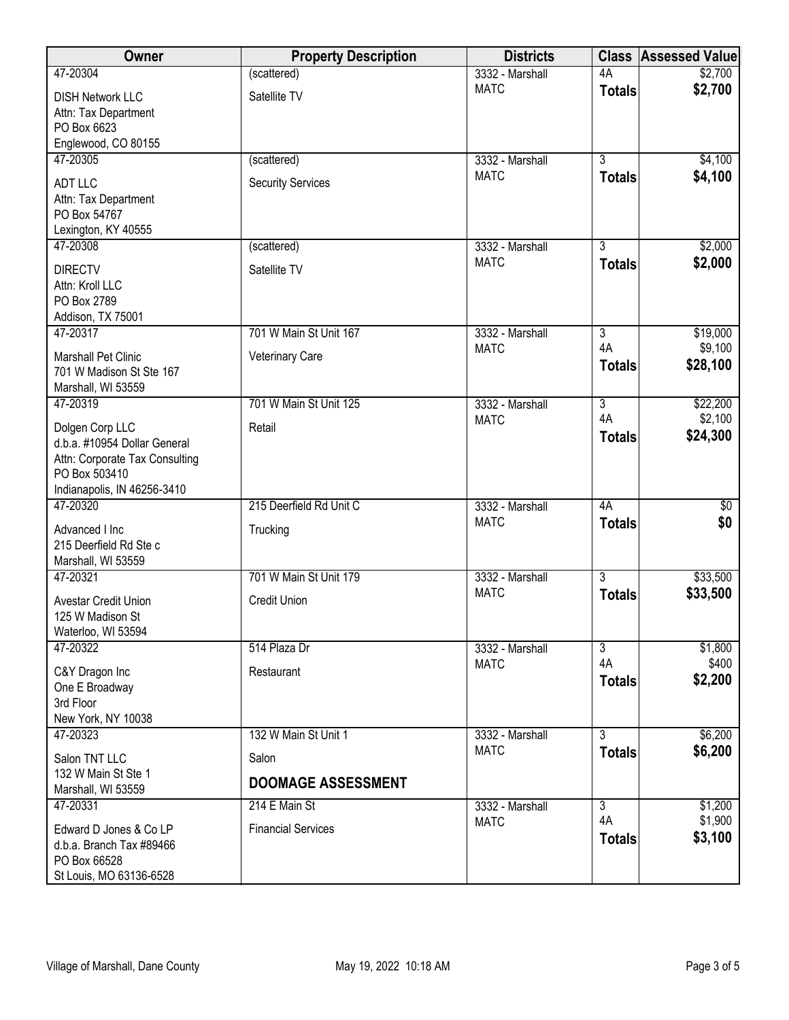| Owner                                              | <b>Property Description</b> | <b>Districts</b>               |                | <b>Class Assessed Value</b> |
|----------------------------------------------------|-----------------------------|--------------------------------|----------------|-----------------------------|
| 47-20304                                           | (scattered)                 | 3332 - Marshall                | 4A             | \$2,700                     |
| <b>DISH Network LLC</b>                            | Satellite TV                | <b>MATC</b>                    | <b>Totals</b>  | \$2,700                     |
| Attn: Tax Department                               |                             |                                |                |                             |
| PO Box 6623<br>Englewood, CO 80155                 |                             |                                |                |                             |
| 47-20305                                           | (scattered)                 | 3332 - Marshall                | $\overline{3}$ | \$4,100                     |
| ADT LLC                                            | <b>Security Services</b>    | <b>MATC</b>                    | <b>Totals</b>  | \$4,100                     |
| Attn: Tax Department                               |                             |                                |                |                             |
| PO Box 54767                                       |                             |                                |                |                             |
| Lexington, KY 40555                                |                             |                                |                |                             |
| 47-20308                                           | (scattered)                 | 3332 - Marshall                | $\overline{3}$ | \$2,000                     |
| <b>DIRECTV</b>                                     | Satellite TV                | <b>MATC</b>                    | <b>Totals</b>  | \$2,000                     |
| Attn: Kroll LLC                                    |                             |                                |                |                             |
| PO Box 2789<br>Addison, TX 75001                   |                             |                                |                |                             |
| 47-20317                                           | 701 W Main St Unit 167      | 3332 - Marshall                | $\overline{3}$ | \$19,000                    |
| Marshall Pet Clinic                                | Veterinary Care             | <b>MATC</b>                    | 4A             | \$9,100                     |
| 701 W Madison St Ste 167                           |                             |                                | <b>Totals</b>  | \$28,100                    |
| Marshall, WI 53559                                 |                             |                                |                |                             |
| 47-20319                                           | 701 W Main St Unit 125      | 3332 - Marshall                | $\overline{3}$ | \$22,200                    |
| Dolgen Corp LLC                                    | Retail                      | <b>MATC</b>                    | 4A             | \$2,100                     |
| d.b.a. #10954 Dollar General                       |                             |                                | <b>Totals</b>  | \$24,300                    |
| Attn: Corporate Tax Consulting<br>PO Box 503410    |                             |                                |                |                             |
| Indianapolis, IN 46256-3410                        |                             |                                |                |                             |
| 47-20320                                           | 215 Deerfield Rd Unit C     | 3332 - Marshall                | 4A             | $\overline{50}$             |
| Advanced I Inc                                     | Trucking                    | <b>MATC</b>                    | <b>Totals</b>  | \$0                         |
| 215 Deerfield Rd Ste c                             |                             |                                |                |                             |
| Marshall, WI 53559                                 |                             |                                |                |                             |
| 47-20321                                           | 701 W Main St Unit 179      | 3332 - Marshall<br><b>MATC</b> | $\overline{3}$ | \$33,500                    |
| Avestar Credit Union                               | <b>Credit Union</b>         |                                | <b>Totals</b>  | \$33,500                    |
| 125 W Madison St<br>Waterloo, WI 53594             |                             |                                |                |                             |
| 47-20322                                           | 514 Plaza Dr                | 3332 - Marshall                | $\overline{3}$ | \$1,800                     |
|                                                    | Restaurant                  | <b>MATC</b>                    | 4A             | \$400                       |
| C&Y Dragon Inc<br>One E Broadway                   |                             |                                | <b>Totals</b>  | \$2,200                     |
| 3rd Floor                                          |                             |                                |                |                             |
| New York, NY 10038                                 |                             |                                |                |                             |
| 47-20323                                           | 132 W Main St Unit 1        | 3332 - Marshall                | $\overline{3}$ | \$6,200                     |
| Salon TNT LLC                                      | Salon                       | <b>MATC</b>                    | <b>Totals</b>  | \$6,200                     |
| 132 W Main St Ste 1                                | <b>DOOMAGE ASSESSMENT</b>   |                                |                |                             |
| Marshall, WI 53559<br>47-20331                     | 214 E Main St               | 3332 - Marshall                | $\overline{3}$ | \$1,200                     |
|                                                    |                             | <b>MATC</b>                    | 4A             | \$1,900                     |
| Edward D Jones & Co LP<br>d.b.a. Branch Tax #89466 | <b>Financial Services</b>   |                                | <b>Totals</b>  | \$3,100                     |
| PO Box 66528                                       |                             |                                |                |                             |
| St Louis, MO 63136-6528                            |                             |                                |                |                             |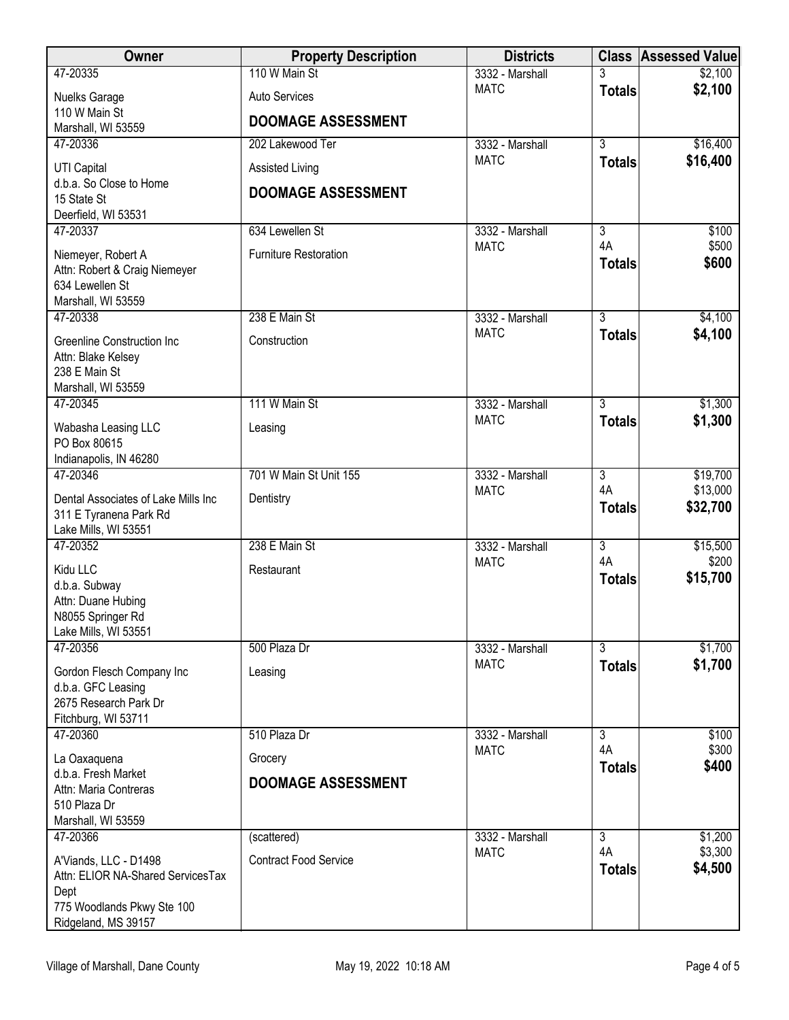| <b>Owner</b>                                     | <b>Property Description</b>  | <b>Districts</b>               |                      | <b>Class Assessed Value</b> |
|--------------------------------------------------|------------------------------|--------------------------------|----------------------|-----------------------------|
| 47-20335                                         | 110 W Main St                | 3332 - Marshall                |                      | \$2,100                     |
| <b>Nuelks Garage</b>                             | <b>Auto Services</b>         | <b>MATC</b>                    | <b>Totals</b>        | \$2,100                     |
| 110 W Main St                                    | <b>DOOMAGE ASSESSMENT</b>    |                                |                      |                             |
| Marshall, WI 53559<br>47-20336                   | 202 Lakewood Ter             | 3332 - Marshall                | $\overline{3}$       | \$16,400                    |
|                                                  |                              | <b>MATC</b>                    | <b>Totals</b>        | \$16,400                    |
| UTI Capital<br>d.b.a. So Close to Home           | Assisted Living              |                                |                      |                             |
| 15 State St                                      | <b>DOOMAGE ASSESSMENT</b>    |                                |                      |                             |
| Deerfield, WI 53531                              |                              |                                |                      |                             |
| 47-20337                                         | 634 Lewellen St              | 3332 - Marshall<br><b>MATC</b> | $\overline{3}$<br>4A | \$100<br>\$500              |
| Niemeyer, Robert A                               | <b>Furniture Restoration</b> |                                | <b>Totals</b>        | \$600                       |
| Attn: Robert & Craig Niemeyer<br>634 Lewellen St |                              |                                |                      |                             |
| Marshall, WI 53559                               |                              |                                |                      |                             |
| 47-20338                                         | 238 E Main St                | 3332 - Marshall                | $\overline{3}$       | \$4,100                     |
| <b>Greenline Construction Inc</b>                | Construction                 | <b>MATC</b>                    | <b>Totals</b>        | \$4,100                     |
| Attn: Blake Kelsey                               |                              |                                |                      |                             |
| 238 E Main St<br>Marshall, WI 53559              |                              |                                |                      |                             |
| 47-20345                                         | 111 W Main St                | 3332 - Marshall                | $\overline{3}$       | \$1,300                     |
| Wabasha Leasing LLC                              | Leasing                      | <b>MATC</b>                    | <b>Totals</b>        | \$1,300                     |
| PO Box 80615                                     |                              |                                |                      |                             |
| Indianapolis, IN 46280                           |                              |                                |                      |                             |
| 47-20346                                         | 701 W Main St Unit 155       | 3332 - Marshall                | $\overline{3}$       | \$19,700                    |
| Dental Associates of Lake Mills Inc              | Dentistry                    | <b>MATC</b>                    | 4A<br><b>Totals</b>  | \$13,000<br>\$32,700        |
| 311 E Tyranena Park Rd                           |                              |                                |                      |                             |
| Lake Mills, WI 53551<br>47-20352                 | 238 E Main St                | 3332 - Marshall                | $\overline{3}$       | \$15,500                    |
|                                                  |                              | <b>MATC</b>                    | 4A                   | \$200                       |
| Kidu LLC<br>d.b.a. Subway                        | Restaurant                   |                                | <b>Totals</b>        | \$15,700                    |
| Attn: Duane Hubing                               |                              |                                |                      |                             |
| N8055 Springer Rd                                |                              |                                |                      |                             |
| Lake Mills, WI 53551<br>47-20356                 | 500 Plaza Dr                 | 3332 - Marshall                | $\overline{3}$       | \$1,700                     |
|                                                  |                              | <b>MATC</b>                    | <b>Totals</b>        | \$1,700                     |
| Gordon Flesch Company Inc<br>d.b.a. GFC Leasing  | Leasing                      |                                |                      |                             |
| 2675 Research Park Dr                            |                              |                                |                      |                             |
| Fitchburg, WI 53711                              |                              |                                |                      |                             |
| 47-20360                                         | 510 Plaza Dr                 | 3332 - Marshall<br><b>MATC</b> | $\overline{3}$<br>4A | \$100<br>\$300              |
| La Oaxaquena                                     | Grocery                      |                                | <b>Totals</b>        | \$400                       |
| d.b.a. Fresh Market<br>Attn: Maria Contreras     | <b>DOOMAGE ASSESSMENT</b>    |                                |                      |                             |
| 510 Plaza Dr                                     |                              |                                |                      |                             |
| Marshall, WI 53559                               |                              |                                |                      |                             |
| 47-20366                                         | (scattered)                  | 3332 - Marshall                | 3<br>4A              | \$1,200<br>\$3,300          |
| A'Viands, LLC - D1498                            | <b>Contract Food Service</b> | <b>MATC</b>                    | <b>Totals</b>        | \$4,500                     |
| Attn: ELIOR NA-Shared ServicesTax<br>Dept        |                              |                                |                      |                             |
| 775 Woodlands Pkwy Ste 100                       |                              |                                |                      |                             |
| Ridgeland, MS 39157                              |                              |                                |                      |                             |